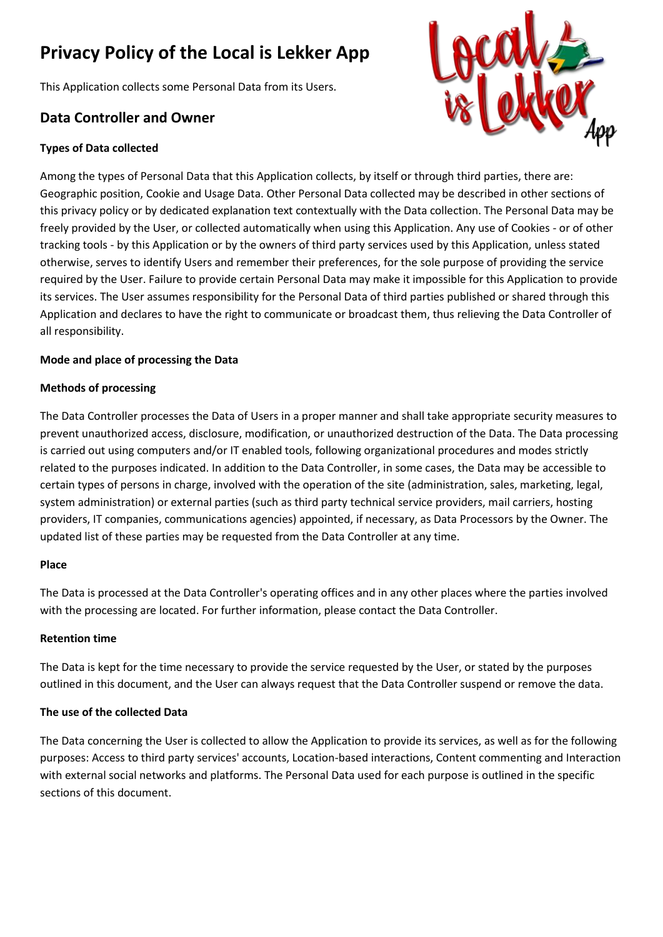# **Privacy Policy of the Local is Lekker App**

This Application collects some Personal Data from its Users.

# **Data Controller and Owner**

# **Types of Data collected**



Among the types of Personal Data that this Application collects, by itself or through third parties, there are: Geographic position, Cookie and Usage Data. Other Personal Data collected may be described in other sections of this privacy policy or by dedicated explanation text contextually with the Data collection. The Personal Data may be freely provided by the User, or collected automatically when using this Application. Any use of Cookies - or of other tracking tools - by this Application or by the owners of third party services used by this Application, unless stated otherwise, serves to identify Users and remember their preferences, for the sole purpose of providing the service required by the User. Failure to provide certain Personal Data may make it impossible for this Application to provide its services. The User assumes responsibility for the Personal Data of third parties published or shared through this Application and declares to have the right to communicate or broadcast them, thus relieving the Data Controller of all responsibility.

# **Mode and place of processing the Data**

#### **Methods of processing**

The Data Controller processes the Data of Users in a proper manner and shall take appropriate security measures to prevent unauthorized access, disclosure, modification, or unauthorized destruction of the Data. The Data processing is carried out using computers and/or IT enabled tools, following organizational procedures and modes strictly related to the purposes indicated. In addition to the Data Controller, in some cases, the Data may be accessible to certain types of persons in charge, involved with the operation of the site (administration, sales, marketing, legal, system administration) or external parties (such as third party technical service providers, mail carriers, hosting providers, IT companies, communications agencies) appointed, if necessary, as Data Processors by the Owner. The updated list of these parties may be requested from the Data Controller at any time.

#### **Place**

The Data is processed at the Data Controller's operating offices and in any other places where the parties involved with the processing are located. For further information, please contact the Data Controller.

# **Retention time**

The Data is kept for the time necessary to provide the service requested by the User, or stated by the purposes outlined in this document, and the User can always request that the Data Controller suspend or remove the data.

# **The use of the collected Data**

The Data concerning the User is collected to allow the Application to provide its services, as well as for the following purposes: Access to third party services' accounts, Location-based interactions, Content commenting and Interaction with external social networks and platforms. The Personal Data used for each purpose is outlined in the specific sections of this document.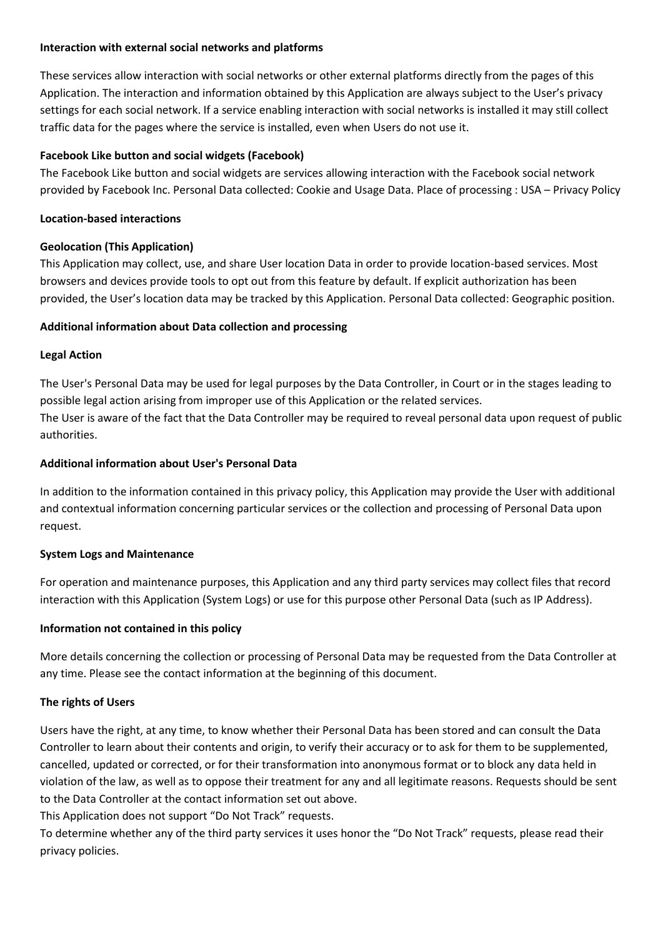#### **Interaction with external social networks and platforms**

These services allow interaction with social networks or other external platforms directly from the pages of this Application. The interaction and information obtained by this Application are always subject to the User's privacy settings for each social network. If a service enabling interaction with social networks is installed it may still collect traffic data for the pages where the service is installed, even when Users do not use it.

# **Facebook Like button and social widgets (Facebook)**

The Facebook Like button and social widgets are services allowing interaction with the Facebook social network provided by Facebook Inc. Personal Data collected: Cookie and Usage Data. Place of processing : USA – Privacy Policy

# **Location-based interactions**

# **Geolocation (This Application)**

This Application may collect, use, and share User location Data in order to provide location-based services. Most browsers and devices provide tools to opt out from this feature by default. If explicit authorization has been provided, the User's location data may be tracked by this Application. Personal Data collected: Geographic position.

# **Additional information about Data collection and processing**

# **Legal Action**

The User's Personal Data may be used for legal purposes by the Data Controller, in Court or in the stages leading to possible legal action arising from improper use of this Application or the related services. The User is aware of the fact that the Data Controller may be required to reveal personal data upon request of public authorities.

# **Additional information about User's Personal Data**

In addition to the information contained in this privacy policy, this Application may provide the User with additional and contextual information concerning particular services or the collection and processing of Personal Data upon request.

# **System Logs and Maintenance**

For operation and maintenance purposes, this Application and any third party services may collect files that record interaction with this Application (System Logs) or use for this purpose other Personal Data (such as IP Address).

# **Information not contained in this policy**

More details concerning the collection or processing of Personal Data may be requested from the Data Controller at any time. Please see the contact information at the beginning of this document.

# **The rights of Users**

Users have the right, at any time, to know whether their Personal Data has been stored and can consult the Data Controller to learn about their contents and origin, to verify their accuracy or to ask for them to be supplemented, cancelled, updated or corrected, or for their transformation into anonymous format or to block any data held in violation of the law, as well as to oppose their treatment for any and all legitimate reasons. Requests should be sent to the Data Controller at the contact information set out above.

This Application does not support "Do Not Track" requests.

To determine whether any of the third party services it uses honor the "Do Not Track" requests, please read their privacy policies.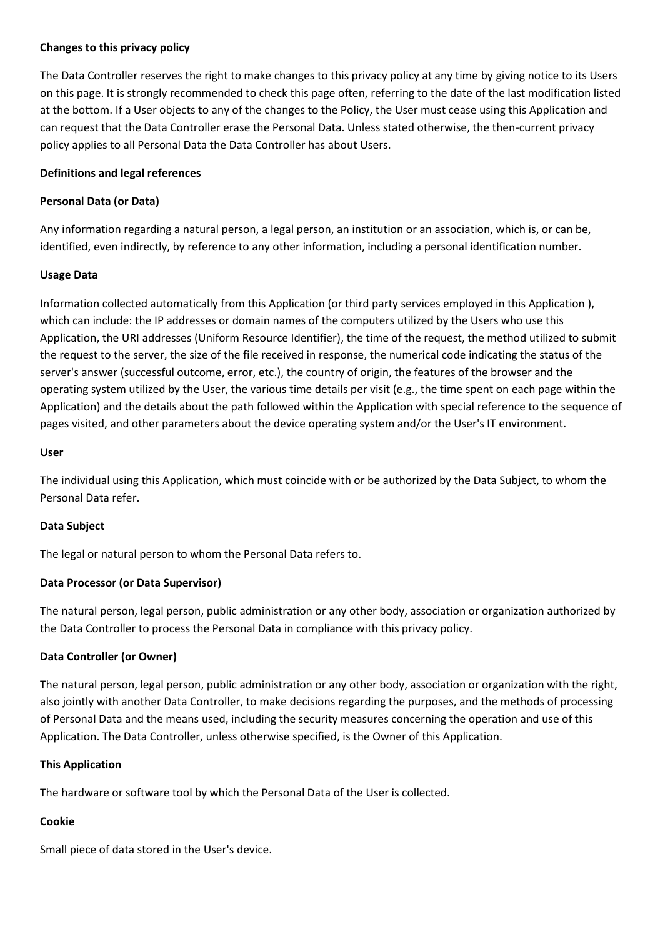#### **Changes to this privacy policy**

The Data Controller reserves the right to make changes to this privacy policy at any time by giving notice to its Users on this page. It is strongly recommended to check this page often, referring to the date of the last modification listed at the bottom. If a User objects to any of the changes to the Policy, the User must cease using this Application and can request that the Data Controller erase the Personal Data. Unless stated otherwise, the then-current privacy policy applies to all Personal Data the Data Controller has about Users.

#### **Definitions and legal references**

#### **Personal Data (or Data)**

Any information regarding a natural person, a legal person, an institution or an association, which is, or can be, identified, even indirectly, by reference to any other information, including a personal identification number.

#### **Usage Data**

Information collected automatically from this Application (or third party services employed in this Application ), which can include: the IP addresses or domain names of the computers utilized by the Users who use this Application, the URI addresses (Uniform Resource Identifier), the time of the request, the method utilized to submit the request to the server, the size of the file received in response, the numerical code indicating the status of the server's answer (successful outcome, error, etc.), the country of origin, the features of the browser and the operating system utilized by the User, the various time details per visit (e.g., the time spent on each page within the Application) and the details about the path followed within the Application with special reference to the sequence of pages visited, and other parameters about the device operating system and/or the User's IT environment.

#### **User**

The individual using this Application, which must coincide with or be authorized by the Data Subject, to whom the Personal Data refer.

# **Data Subject**

The legal or natural person to whom the Personal Data refers to.

# **Data Processor (or Data Supervisor)**

The natural person, legal person, public administration or any other body, association or organization authorized by the Data Controller to process the Personal Data in compliance with this privacy policy.

# **Data Controller (or Owner)**

The natural person, legal person, public administration or any other body, association or organization with the right, also jointly with another Data Controller, to make decisions regarding the purposes, and the methods of processing of Personal Data and the means used, including the security measures concerning the operation and use of this Application. The Data Controller, unless otherwise specified, is the Owner of this Application.

#### **This Application**

The hardware or software tool by which the Personal Data of the User is collected.

# **Cookie**

Small piece of data stored in the User's device.